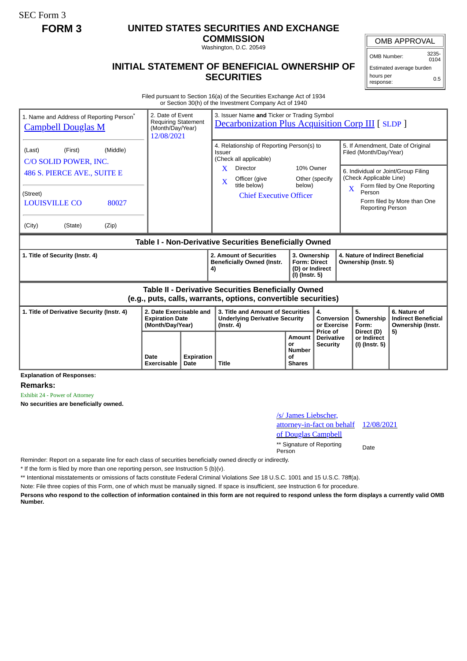SEC Form 3

## **FORM 3 UNITED STATES SECURITIES AND EXCHANGE**

**COMMISSION**

Washington, D.C. 20549

## **INITIAL STATEMENT OF BENEFICIAL OWNERSHIP OF SECURITIES**

OMB Number: 3235-

Estimated average burden hours per response: 0.5

Filed pursuant to Section 16(a) of the Securities Exchange Act of 1934 or Section 30(h) of the Investment Company Act of 1940

| 1. Name and Address of Reporting Person <sup>®</sup><br><b>Campbell Douglas M</b>                                                  | 2. Date of Event<br><b>Requiring Statement</b><br>(Month/Day/Year)<br>12/08/2021 |                           | 3. Issuer Name and Ticker or Trading Symbol<br><b>Decarbonization Plus Acquisition Corp III [ SLDP ]</b> |                                                                                                                                                    |                                                                          |                                                  |                                                                                                                                                          |                                                                                                 |
|------------------------------------------------------------------------------------------------------------------------------------|----------------------------------------------------------------------------------|---------------------------|----------------------------------------------------------------------------------------------------------|----------------------------------------------------------------------------------------------------------------------------------------------------|--------------------------------------------------------------------------|--------------------------------------------------|----------------------------------------------------------------------------------------------------------------------------------------------------------|-------------------------------------------------------------------------------------------------|
| (Middle)<br>(Last)<br>(First)<br>C/O SOLID POWER, INC.<br>486 S. PIERCE AVE., SUITE E<br>(Street)<br><b>LOUISVILLE CO</b><br>80027 |                                                                                  |                           | <b>Issuer</b><br>X<br>$\mathbf X$                                                                        | 4. Relationship of Reporting Person(s) to<br>(Check all applicable)<br>Director<br>Officer (give<br>title below)<br><b>Chief Executive Officer</b> | 10% Owner<br>below)                                                      | Other (specify                                   | Filed (Month/Day/Year)<br>6. Individual or Joint/Group Filing<br>(Check Applicable Line)<br>$\overline{\mathbf{X}}$<br>Person<br><b>Reporting Person</b> | 5. If Amendment, Date of Original<br>Form filed by One Reporting<br>Form filed by More than One |
| (City)<br>(State)<br>(Zip)                                                                                                         |                                                                                  |                           |                                                                                                          |                                                                                                                                                    |                                                                          |                                                  |                                                                                                                                                          |                                                                                                 |
| Table I - Non-Derivative Securities Beneficially Owned                                                                             |                                                                                  |                           |                                                                                                          |                                                                                                                                                    |                                                                          |                                                  |                                                                                                                                                          |                                                                                                 |
| 1. Title of Security (Instr. 4)                                                                                                    |                                                                                  |                           | 2. Amount of Securities<br><b>Beneficially Owned (Instr.</b><br>4)                                       |                                                                                                                                                    | 3. Ownership<br><b>Form: Direct</b><br>(D) or Indirect<br>(I) (Instr. 5) |                                                  | 4. Nature of Indirect Beneficial<br>Ownership (Instr. 5)                                                                                                 |                                                                                                 |
| <b>Table II - Derivative Securities Beneficially Owned</b><br>(e.g., puts, calls, warrants, options, convertible securities)       |                                                                                  |                           |                                                                                                          |                                                                                                                                                    |                                                                          |                                                  |                                                                                                                                                          |                                                                                                 |
| 2. Date Exercisable and<br>1. Title of Derivative Security (Instr. 4)<br><b>Expiration Date</b><br>(Month/Day/Year)                |                                                                                  |                           | 3. Title and Amount of Securities<br><b>Underlying Derivative Security</b><br>$($ lnstr. 4 $)$           |                                                                                                                                                    |                                                                          | 4.<br>Conversion<br>or Exercise                  | 5.<br>Ownership<br>Form:                                                                                                                                 | 6. Nature of<br><b>Indirect Beneficial</b><br>Ownership (Instr.                                 |
| - - -                                                                                                                              | Date<br>Exercisable                                                              | <b>Expiration</b><br>Date | <b>Title</b>                                                                                             |                                                                                                                                                    | <b>Amount</b><br>or<br><b>Number</b><br>οf<br><b>Shares</b>              | Price of<br><b>Derivative</b><br><b>Security</b> | Direct (D)<br>or Indirect<br>(I) (Instr. 5)                                                                                                              | 5)                                                                                              |

**Explanation of Responses:**

**Remarks:**

Exhibit 24 - Power of Attorney

**No securities are beneficially owned.**

/s/ James Liebscher, attorney-in-fact on behalf of Douglas Campbell 12/08/2021 \*\* Signature of Reporting Person Date

Reminder: Report on a separate line for each class of securities beneficially owned directly or indirectly.

\* If the form is filed by more than one reporting person, *see* Instruction 5 (b)(v).

\*\* Intentional misstatements or omissions of facts constitute Federal Criminal Violations *See* 18 U.S.C. 1001 and 15 U.S.C. 78ff(a).

Note: File three copies of this Form, one of which must be manually signed. If space is insufficient, *see* Instruction 6 for procedure.

**Persons who respond to the collection of information contained in this form are not required to respond unless the form displays a currently valid OMB Number.**

OMB APPROVAL

 $0104$